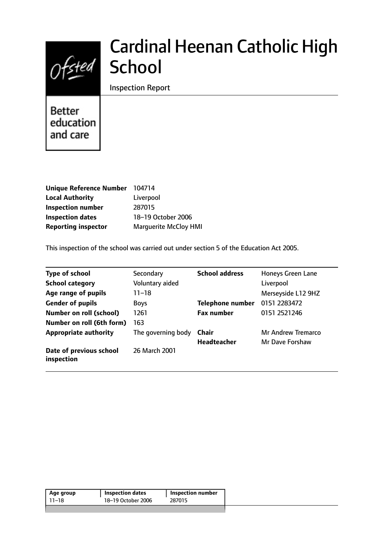

# Cardinal Heenan Catholic High **School**

Inspection Report

**Better** education and care

| Unique Reference Number 104714 |
|--------------------------------|
| Liverpool                      |
| 287015                         |
| 18-19 October 2006             |
| <b>Marquerite McCloy HMI</b>   |
|                                |

This inspection of the school was carried out under section 5 of the Education Act 2005.

| <b>Type of school</b>                 | Secondary          | <b>School address</b>   | Honeys Green Lane  |
|---------------------------------------|--------------------|-------------------------|--------------------|
| <b>School category</b>                | Voluntary aided    |                         | Liverpool          |
| Age range of pupils                   | $11 - 18$          |                         | Merseyside L12 9HZ |
| <b>Gender of pupils</b>               | <b>Boys</b>        | <b>Telephone number</b> | 0151 2283472       |
| <b>Number on roll (school)</b>        | 1261               | <b>Fax number</b>       | 0151 2521246       |
| Number on roll (6th form)             | 163                |                         |                    |
| <b>Appropriate authority</b>          | The governing body | Chair                   | Mr Andrew Tremarco |
|                                       |                    | Headteacher             | Mr Dave Forshaw    |
| Date of previous school<br>inspection | 26 March 2001      |                         |                    |

| Age group | <b>Inspection dates</b> | Inspection number |
|-----------|-------------------------|-------------------|
| 11–18     | 18-19 October 2006      | 287015            |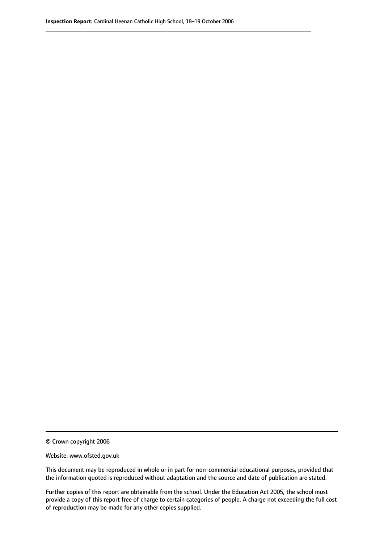© Crown copyright 2006

Website: www.ofsted.gov.uk

This document may be reproduced in whole or in part for non-commercial educational purposes, provided that the information quoted is reproduced without adaptation and the source and date of publication are stated.

Further copies of this report are obtainable from the school. Under the Education Act 2005, the school must provide a copy of this report free of charge to certain categories of people. A charge not exceeding the full cost of reproduction may be made for any other copies supplied.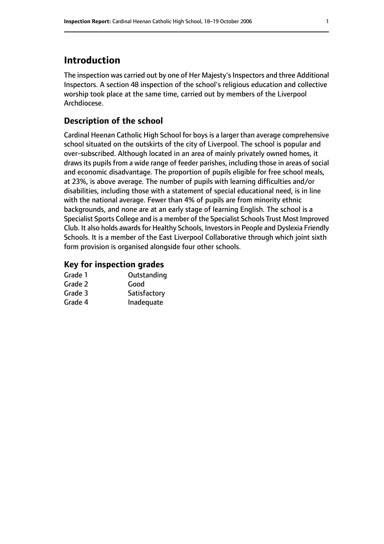## **Introduction**

The inspection was carried out by one of Her Majesty's Inspectors and three Additional Inspectors. A section 48 inspection of the school's religious education and collective worship took place at the same time, carried out by members of the Liverpool Archdiocese.

## **Description of the school**

Cardinal Heenan Catholic High School for boys is a larger than average comprehensive school situated on the outskirts of the city of Liverpool. The school is popular and over-subscribed. Although located in an area of mainly privately owned homes, it draws its pupils from a wide range of feeder parishes, including those in areas of social and economic disadvantage. The proportion of pupils eligible for free school meals, at 23%, is above average. The number of pupils with learning difficulties and/or disabilities, including those with a statement of special educational need, is in line with the national average. Fewer than 4% of pupils are from minority ethnic backgrounds, and none are at an early stage of learning English. The school is a Specialist Sports College and is a member of the Specialist Schools Trust Most Improved Club. It also holds awards for Healthy Schools, Investors in People and Dyslexia Friendly Schools. It is a member of the East Liverpool Collaborative through which joint sixth form provision is organised alongside four other schools.

## **Key for inspection grades**

| Grade 1 | Outstanding  |
|---------|--------------|
| Grade 2 | Good         |
| Grade 3 | Satisfactory |
| Grade 4 | Inadequate   |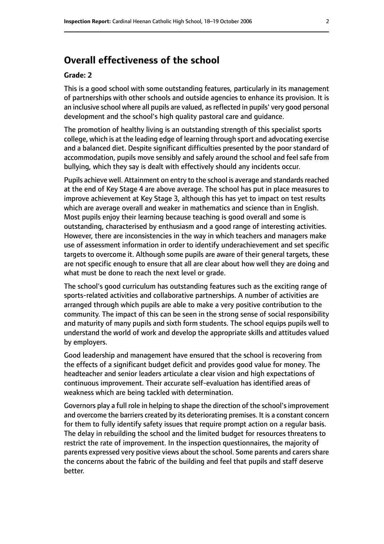## **Overall effectiveness of the school**

#### **Grade: 2**

This is a good school with some outstanding features, particularly in its management of partnerships with other schools and outside agencies to enhance its provision. It is an inclusive school where all pupils are valued, as reflected in pupils' very good personal development and the school's high quality pastoral care and guidance.

The promotion of healthy living is an outstanding strength of this specialist sports college, which is at the leading edge of learning through sport and advocating exercise and a balanced diet. Despite significant difficulties presented by the poor standard of accommodation, pupils move sensibly and safely around the school and feel safe from bullying, which they say is dealt with effectively should any incidents occur.

Pupils achieve well. Attainment on entry to the school is average and standards reached at the end of Key Stage 4 are above average. The school has put in place measures to improve achievement at Key Stage 3, although this has yet to impact on test results which are average overall and weaker in mathematics and science than in English. Most pupils enjoy their learning because teaching is good overall and some is outstanding, characterised by enthusiasm and a good range of interesting activities. However, there are inconsistencies in the way in which teachers and managers make use of assessment information in order to identify underachievement and set specific targets to overcome it. Although some pupils are aware of their general targets, these are not specific enough to ensure that all are clear about how well they are doing and what must be done to reach the next level or grade.

The school's good curriculum has outstanding features such as the exciting range of sports-related activities and collaborative partnerships. A number of activities are arranged through which pupils are able to make a very positive contribution to the community. The impact of this can be seen in the strong sense of social responsibility and maturity of many pupils and sixth form students. The school equips pupils well to understand the world of work and develop the appropriate skills and attitudes valued by employers.

Good leadership and management have ensured that the school is recovering from the effects of a significant budget deficit and provides good value for money. The headteacher and senior leaders articulate a clear vision and high expectations of continuous improvement. Their accurate self-evaluation has identified areas of weakness which are being tackled with determination.

Governors play a full role in helping to shape the direction of the school'simprovement and overcome the barriers created by its deteriorating premises. It is a constant concern for them to fully identify safety issues that require prompt action on a regular basis. The delay in rebuilding the school and the limited budget for resources threatens to restrict the rate of improvement. In the inspection questionnaires, the majority of parents expressed very positive views about the school. Some parents and carers share the concerns about the fabric of the building and feel that pupils and staff deserve better.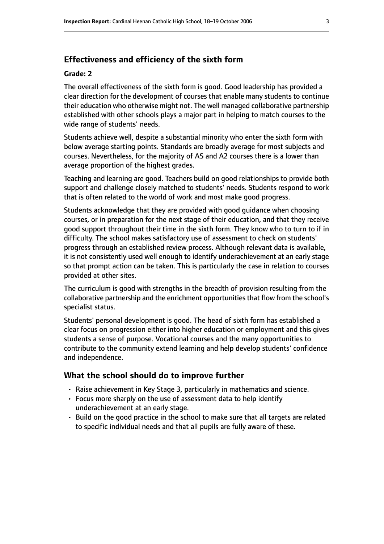### **Effectiveness and efficiency of the sixth form**

#### **Grade: 2**

The overall effectiveness of the sixth form is good. Good leadership has provided a clear direction for the development of courses that enable many students to continue their education who otherwise might not. The well managed collaborative partnership established with other schools plays a major part in helping to match courses to the wide range of students' needs.

Students achieve well, despite a substantial minority who enter the sixth form with below average starting points. Standards are broadly average for most subjects and courses. Nevertheless, for the majority of AS and A2 courses there is a lower than average proportion of the highest grades.

Teaching and learning are good. Teachers build on good relationships to provide both support and challenge closely matched to students' needs. Students respond to work that is often related to the world of work and most make good progress.

Students acknowledge that they are provided with good guidance when choosing courses, or in preparation for the next stage of their education, and that they receive good support throughout their time in the sixth form. They know who to turn to if in difficulty. The school makes satisfactory use of assessment to check on students' progress through an established review process. Although relevant data is available, it is not consistently used well enough to identify underachievement at an early stage so that prompt action can be taken. This is particularly the case in relation to courses provided at other sites.

The curriculum is good with strengths in the breadth of provision resulting from the collaborative partnership and the enrichment opportunities that flow from the school's specialist status.

Students' personal development is good. The head of sixth form has established a clear focus on progression either into higher education or employment and this gives students a sense of purpose. Vocational courses and the many opportunities to contribute to the community extend learning and help develop students' confidence and independence.

#### **What the school should do to improve further**

- Raise achievement in Key Stage 3, particularly in mathematics and science.
- Focus more sharply on the use of assessment data to help identify underachievement at an early stage.
- Build on the good practice in the school to make sure that all targets are related to specific individual needs and that all pupils are fully aware of these.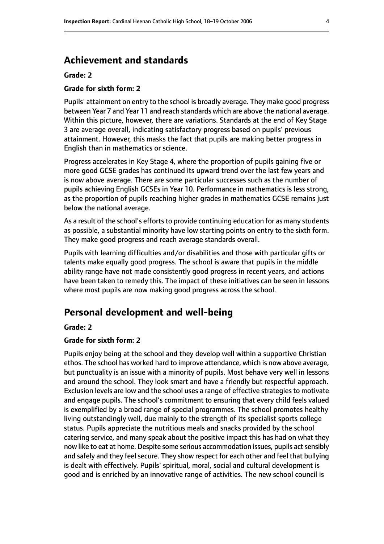## **Achievement and standards**

#### **Grade: 2**

#### **Grade for sixth form: 2**

Pupils' attainment on entry to the school is broadly average. They make good progress between Year 7 and Year 11 and reach standards which are above the national average. Within this picture, however, there are variations. Standards at the end of Key Stage 3 are average overall, indicating satisfactory progress based on pupils' previous attainment. However, this masks the fact that pupils are making better progress in English than in mathematics or science.

Progress accelerates in Key Stage 4, where the proportion of pupils gaining five or more good GCSE grades has continued its upward trend over the last few years and is now above average. There are some particular successes such as the number of pupils achieving English GCSEs in Year 10. Performance in mathematics is less strong, as the proportion of pupils reaching higher grades in mathematics GCSE remains just below the national average.

As a result of the school's efforts to provide continuing education for as many students as possible, a substantial minority have low starting points on entry to the sixth form. They make good progress and reach average standards overall.

Pupils with learning difficulties and/or disabilities and those with particular gifts or talents make equally good progress. The school is aware that pupils in the middle ability range have not made consistently good progress in recent years, and actions have been taken to remedy this. The impact of these initiatives can be seen in lessons where most pupils are now making good progress across the school.

## **Personal development and well-being**

#### **Grade: 2**

#### **Grade for sixth form: 2**

Pupils enjoy being at the school and they develop well within a supportive Christian ethos. The school has worked hard to improve attendance, which is now above average, but punctuality is an issue with a minority of pupils. Most behave very well in lessons and around the school. They look smart and have a friendly but respectful approach. Exclusion levels are low and the school uses a range of effective strategies to motivate and engage pupils. The school's commitment to ensuring that every child feels valued is exemplified by a broad range of special programmes. The school promotes healthy living outstandingly well, due mainly to the strength of its specialist sports college status. Pupils appreciate the nutritious meals and snacks provided by the school catering service, and many speak about the positive impact this has had on what they now like to eat at home. Despite some serious accommodation issues, pupils act sensibly and safely and they feel secure. They show respect for each other and feel that bullying is dealt with effectively. Pupils' spiritual, moral, social and cultural development is good and is enriched by an innovative range of activities. The new school council is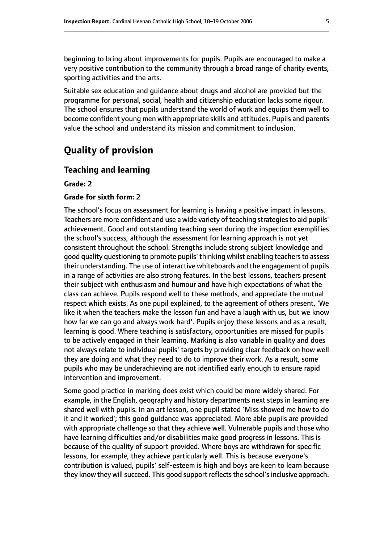beginning to bring about improvements for pupils. Pupils are encouraged to make a very positive contribution to the community through a broad range of charity events, sporting activities and the arts.

Suitable sex education and guidance about drugs and alcohol are provided but the programme for personal, social, health and citizenship education lacks some rigour. The school ensures that pupils understand the world of work and equips them well to become confident young men with appropriate skills and attitudes. Pupils and parents value the school and understand its mission and commitment to inclusion.

## **Quality of provision**

#### **Teaching and learning**

**Grade: 2**

#### **Grade for sixth form: 2**

The school's focus on assessment for learning is having a positive impact in lessons. Teachers are more confident and use a wide variety of teaching strategies to aid pupils' achievement. Good and outstanding teaching seen during the inspection exemplifies the school's success, although the assessment for learning approach is not yet consistent throughout the school. Strengths include strong subject knowledge and good quality questioning to promote pupils' thinking whilst enabling teachersto assess their understanding. The use of interactive whiteboards and the engagement of pupils in a range of activities are also strong features. In the best lessons, teachers present their subject with enthusiasm and humour and have high expectations of what the class can achieve. Pupils respond well to these methods, and appreciate the mutual respect which exists. As one pupil explained, to the agreement of others present, 'We like it when the teachers make the lesson fun and have a laugh with us, but we know how far we can go and always work hard'. Pupils enjoy these lessons and as a result, learning is good. Where teaching is satisfactory, opportunities are missed for pupils to be actively engaged in their learning. Marking is also variable in quality and does not always relate to individual pupils' targets by providing clear feedback on how well they are doing and what they need to do to improve their work. As a result, some pupils who may be underachieving are not identified early enough to ensure rapid intervention and improvement.

Some good practice in marking does exist which could be more widely shared. For example, in the English, geography and history departments next steps in learning are shared well with pupils. In an art lesson, one pupil stated 'Miss showed me how to do it and it worked'; this good guidance was appreciated. More able pupils are provided with appropriate challenge so that they achieve well. Vulnerable pupils and those who have learning difficulties and/or disabilities make good progress in lessons. This is because of the quality of support provided. Where boys are withdrawn for specific lessons, for example, they achieve particularly well. This is because everyone's contribution is valued, pupils' self-esteem is high and boys are keen to learn because they know they will succeed. This good support reflects the school's inclusive approach.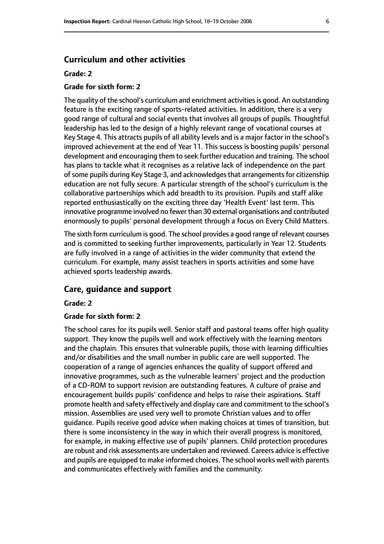#### **Curriculum and other activities**

#### **Grade: 2**

#### **Grade for sixth form: 2**

The quality of the school's curriculum and enrichment activities is good. An outstanding feature is the exciting range of sports-related activities. In addition, there is a very good range of cultural and social events that involves all groups of pupils. Thoughtful leadership has led to the design of a highly relevant range of vocational courses at Key Stage 4. This attracts pupils of all ability levels and is a major factor in the school's improved achievement at the end of Year 11. This success is boosting pupils' personal development and encouraging them to seek further education and training. The school has plans to tackle what it recognises as a relative lack of independence on the part of some pupils during Key Stage 3, and acknowledges that arrangements for citizenship education are not fully secure. A particular strength of the school's curriculum is the collaborative partnerships which add breadth to its provision. Pupils and staff alike reported enthusiastically on the exciting three day 'Health Event' last term. This innovative programme involved no fewer than 30 external organisations and contributed enormously to pupils' personal development through a focus on Every Child Matters.

The sixth form curriculum is good. The school provides a good range of relevant courses and is committed to seeking further improvements, particularly in Year 12. Students are fully involved in a range of activities in the wider community that extend the curriculum. For example, many assist teachers in sports activities and some have achieved sports leadership awards.

#### **Care, guidance and support**

#### **Grade: 2**

#### **Grade for sixth form: 2**

The school cares for its pupils well. Senior staff and pastoral teams offer high quality support. They know the pupils well and work effectively with the learning mentors and the chaplain. This ensures that vulnerable pupils, those with learning difficulties and/or disabilities and the small number in public care are well supported. The cooperation of a range of agencies enhances the quality of support offered and innovative programmes, such as the vulnerable learners' project and the production of a CD-ROM to support revision are outstanding features. A culture of praise and encouragement builds pupils' confidence and helps to raise their aspirations. Staff promote health and safety effectively and display care and commitment to the school's mission. Assemblies are used very well to promote Christian values and to offer guidance. Pupils receive good advice when making choices at times of transition, but there is some inconsistency in the way in which their overall progress is monitored, for example, in making effective use of pupils' planners. Child protection procedures are robust and risk assessments are undertaken and reviewed. Careers advice is effective and pupils are equipped to make informed choices. The school works well with parents and communicates effectively with families and the community.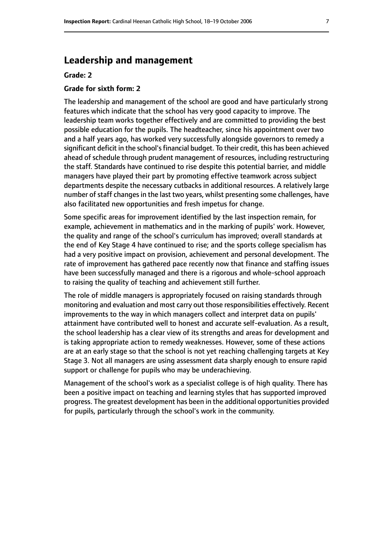## **Leadership and management**

#### **Grade: 2**

#### **Grade for sixth form: 2**

The leadership and management of the school are good and have particularly strong features which indicate that the school has very good capacity to improve. The leadership team works together effectively and are committed to providing the best possible education for the pupils. The headteacher, since his appointment over two and a half years ago, has worked very successfully alongside governors to remedy a significant deficit in the school's financial budget. To their credit, this has been achieved ahead of schedule through prudent management of resources, including restructuring the staff. Standards have continued to rise despite this potential barrier, and middle managers have played their part by promoting effective teamwork across subject departments despite the necessary cutbacks in additional resources. A relatively large number of staff changes in the last two years, whilst presenting some challenges, have also facilitated new opportunities and fresh impetus for change.

Some specific areas for improvement identified by the last inspection remain, for example, achievement in mathematics and in the marking of pupils' work. However, the quality and range of the school's curriculum has improved; overall standards at the end of Key Stage 4 have continued to rise; and the sports college specialism has had a very positive impact on provision, achievement and personal development. The rate of improvement has gathered pace recently now that finance and staffing issues have been successfully managed and there is a rigorous and whole-school approach to raising the quality of teaching and achievement still further.

The role of middle managers is appropriately focused on raising standards through monitoring and evaluation and most carry out those responsibilities effectively. Recent improvements to the way in which managers collect and interpret data on pupils' attainment have contributed well to honest and accurate self-evaluation. As a result, the school leadership has a clear view of its strengths and areas for development and is taking appropriate action to remedy weaknesses. However, some of these actions are at an early stage so that the school is not yet reaching challenging targets at Key Stage 3. Not all managers are using assessment data sharply enough to ensure rapid support or challenge for pupils who may be underachieving.

Management of the school's work as a specialist college is of high quality. There has been a positive impact on teaching and learning styles that has supported improved progress. The greatest development has been in the additional opportunities provided for pupils, particularly through the school's work in the community.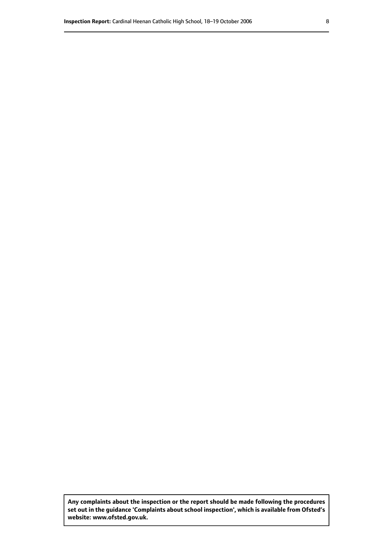**Any complaints about the inspection or the report should be made following the procedures set out inthe guidance 'Complaints about school inspection', whichis available from Ofsted's website: www.ofsted.gov.uk.**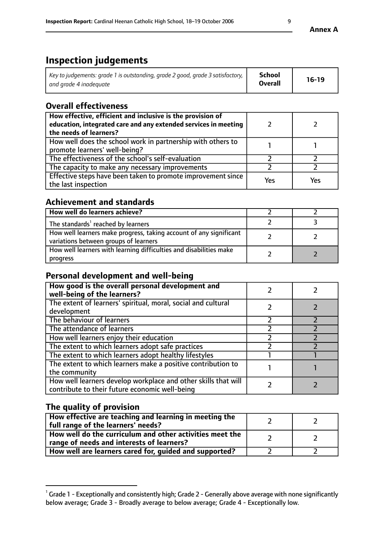# **Inspection judgements**

| Key to judgements: grade 1 is outstanding, grade 2 good, grade 3 satisfactory, $\mid$ | <b>School</b>  | $16-19$ |
|---------------------------------------------------------------------------------------|----------------|---------|
| and grade 4 inadeguate                                                                | <b>Overall</b> |         |

## **Overall effectiveness**

| How effective, efficient and inclusive is the provision of<br>education, integrated care and any extended services in meeting<br>the needs of learners? |     |     |
|---------------------------------------------------------------------------------------------------------------------------------------------------------|-----|-----|
| How well does the school work in partnership with others to<br>promote learners' well-being?                                                            |     |     |
| The effectiveness of the school's self-evaluation                                                                                                       |     |     |
| The capacity to make any necessary improvements                                                                                                         |     |     |
| Effective steps have been taken to promote improvement since<br>the last inspection                                                                     | Yes | Yes |

## **Achievement and standards**

| How well do learners achieve?                                                                               |  |
|-------------------------------------------------------------------------------------------------------------|--|
| The standards <sup>1</sup> reached by learners                                                              |  |
| How well learners make progress, taking account of any significant<br>variations between groups of learners |  |
| How well learners with learning difficulties and disabilities make<br>progress                              |  |

## **Personal development and well-being**

| How good is the overall personal development and<br>well-being of the learners?                                  |  |
|------------------------------------------------------------------------------------------------------------------|--|
| The extent of learners' spiritual, moral, social and cultural<br>development                                     |  |
| The behaviour of learners                                                                                        |  |
| The attendance of learners                                                                                       |  |
| How well learners enjoy their education                                                                          |  |
| The extent to which learners adopt safe practices                                                                |  |
| The extent to which learners adopt healthy lifestyles                                                            |  |
| The extent to which learners make a positive contribution to<br>the community                                    |  |
| How well learners develop workplace and other skills that will<br>contribute to their future economic well-being |  |

## **The quality of provision**

| How effective are teaching and learning in meeting the<br>full range of the learners' needs?          |  |
|-------------------------------------------------------------------------------------------------------|--|
| How well do the curriculum and other activities meet the<br>range of needs and interests of learners? |  |
| How well are learners cared for, guided and supported?                                                |  |

**Annex A**

 $^1$  Grade 1 - Exceptionally and consistently high; Grade 2 - Generally above average with none significantly below average; Grade 3 - Broadly average to below average; Grade 4 - Exceptionally low.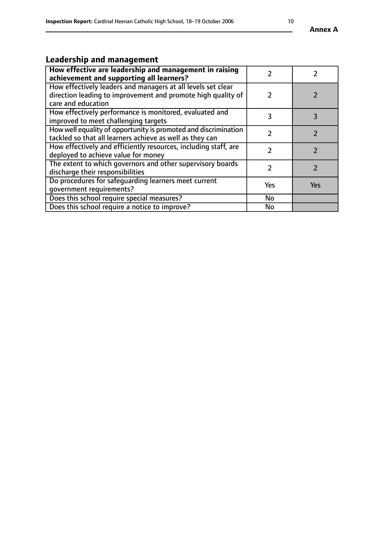# **Leadership and management**

| How effective are leadership and management in raising<br>achievement and supporting all learners?                                                 |     |            |
|----------------------------------------------------------------------------------------------------------------------------------------------------|-----|------------|
| How effectively leaders and managers at all levels set clear<br>direction leading to improvement and promote high quality of<br>care and education |     |            |
| How effectively performance is monitored, evaluated and<br>improved to meet challenging targets                                                    | 3   | 3          |
| How well equality of opportunity is promoted and discrimination<br>tackled so that all learners achieve as well as they can                        |     |            |
| How effectively and efficiently resources, including staff, are<br>deployed to achieve value for money                                             | 7   |            |
| The extent to which governors and other supervisory boards<br>discharge their responsibilities                                                     |     |            |
| Do procedures for safeguarding learners meet current<br>qovernment requirements?                                                                   | Yes | <b>Yes</b> |
| Does this school require special measures?                                                                                                         | No  |            |
| Does this school require a notice to improve?                                                                                                      | No  |            |